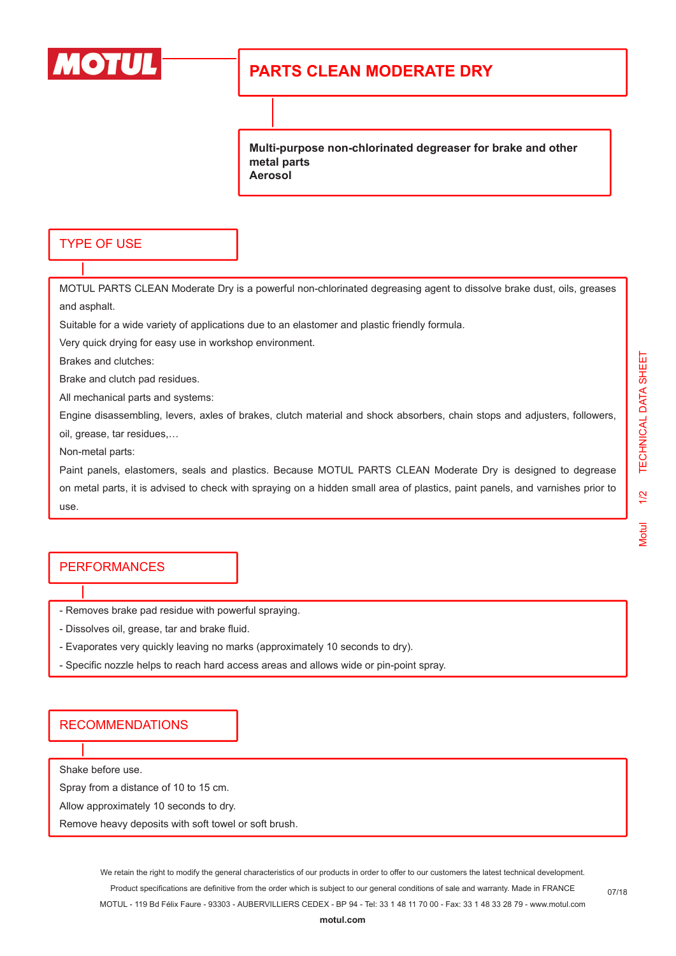

# **PARTS CLEAN MODERATE DRY**

**Multi-purpose non-chlorinated degreaser for brake and other metal parts Aerosol**

### TYPE OF USE

MOTUL PARTS CLEAN Moderate Dry is a powerful non-chlorinated degreasing agent to dissolve brake dust, oils, greases and asphalt.

Suitable for a wide variety of applications due to an elastomer and plastic friendly formula.

Very quick drying for easy use in workshop environment.

Brakes and clutches:

Brake and clutch pad residues.

All mechanical parts and systems:

Engine disassembling, levers, axles of brakes, clutch material and shock absorbers, chain stops and adjusters, followers, oil, grease, tar residues,…

Non-metal parts:

Paint panels, elastomers, seals and plastics. Because MOTUL PARTS CLEAN Moderate Dry is designed to degrease on metal parts, it is advised to check with spraying on a hidden small area of plastics, paint panels, and varnishes prior to use.

### PERFORMANCES

- Removes brake pad residue with powerful spraying.

- Dissolves oil, grease, tar and brake fluid.

- Evaporates very quickly leaving no marks (approximately 10 seconds to dry).
- Specific nozzle helps to reach hard access areas and allows wide or pin-point spray.

#### RECOMMENDATIONS

Shake before use.

Spray from a distance of 10 to 15 cm.

Allow approximately 10 seconds to dry.

Remove heavy deposits with soft towel or soft brush.

We retain the right to modify the general characteristics of our products in order to offer to our customers the latest technical development. Product specifications are definitive from the order which is subject to our general conditions of sale and warranty. Made in FRANCE MOTUL - 119 Bd Félix Faure - 93303 - AUBERVILLIERS CEDEX - BP 94 - Tel: 33 1 48 11 70 00 - Fax: 33 1 48 33 28 79 - www.motul.com